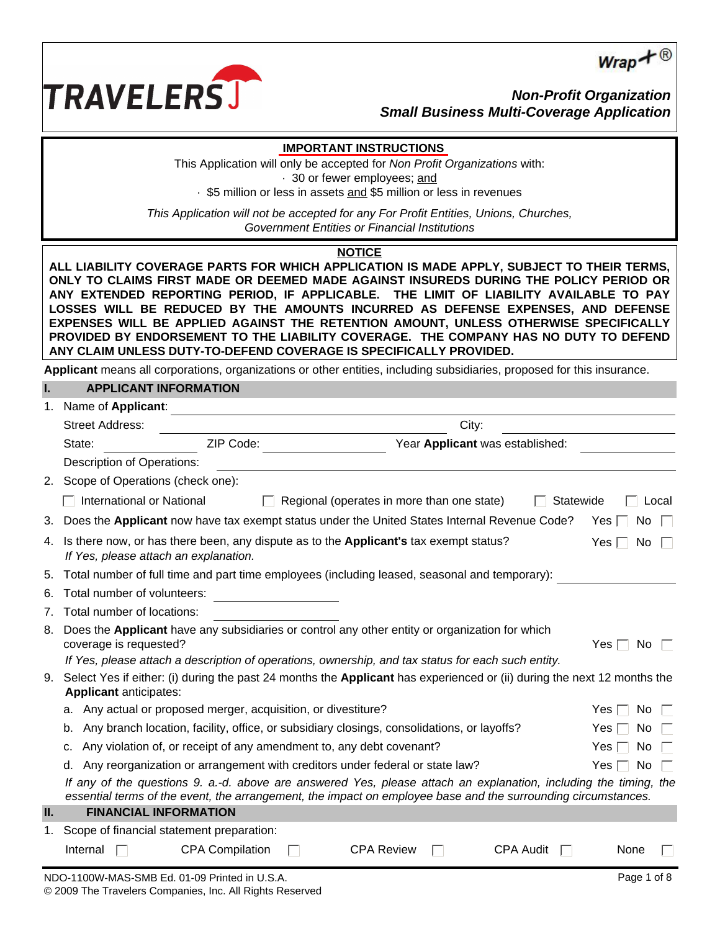



*Non-Profit Organization Small Business Multi-Coverage Application*

# **IMPORTANT INSTRUCTIONS**

This Application will only be accepted for *Non Profit Organizations* with: · 30 or fewer employees; and

· \$5 million or less in assets and \$5 million or less in revenues

*This Application will not be accepted for any For Profit Entities, Unions, Churches, Government Entities or Financial Institutions*

#### **NOTICE**

**ALL LIABILITY COVERAGE PARTS FOR WHICH APPLICATION IS MADE APPLY, SUBJECT TO THEIR TERMS, ONLY TO CLAIMS FIRST MADE OR DEEMED MADE AGAINST INSUREDS DURING THE POLICY PERIOD OR ANY EXTENDED REPORTING PERIOD, IF APPLICABLE. THE LIMIT OF LIABILITY AVAILABLE TO PAY LOSSES WILL BE REDUCED BY THE AMOUNTS INCURRED AS DEFENSE EXPENSES, AND DEFENSE EXPENSES WILL BE APPLIED AGAINST THE RETENTION AMOUNT, UNLESS OTHERWISE SPECIFICALLY PROVIDED BY ENDORSEMENT TO THE LIABILITY COVERAGE. THE COMPANY HAS NO DUTY TO DEFEND ANY CLAIM UNLESS DUTY-TO-DEFEND COVERAGE IS SPECIFICALLY PROVIDED.**

**Applicant** means all corporations, organizations or other entities, including subsidiaries, proposed for this insurance.

# **I. APPLICANT INFORMATION**

| 1.             | Name of Applicant:                                                                                                                                                                                                                |                        |  |  |                   |                                            |                  |           |                   |       |
|----------------|-----------------------------------------------------------------------------------------------------------------------------------------------------------------------------------------------------------------------------------|------------------------|--|--|-------------------|--------------------------------------------|------------------|-----------|-------------------|-------|
|                | <b>Street Address:</b>                                                                                                                                                                                                            |                        |  |  |                   | City:                                      |                  |           |                   |       |
|                | State:                                                                                                                                                                                                                            | ZIP Code:              |  |  |                   | Year Applicant was established:            |                  |           |                   |       |
|                | Description of Operations:                                                                                                                                                                                                        |                        |  |  |                   |                                            |                  |           |                   |       |
|                | 2. Scope of Operations (check one):                                                                                                                                                                                               |                        |  |  |                   |                                            |                  |           |                   |       |
|                | International or National                                                                                                                                                                                                         |                        |  |  |                   | Regional (operates in more than one state) |                  | Statewide |                   | Local |
| 3.             | Does the Applicant now have tax exempt status under the United States Internal Revenue Code?                                                                                                                                      |                        |  |  |                   |                                            |                  | Yes I     | No.               |       |
| 4.             | Is there now, or has there been, any dispute as to the Applicant's tax exempt status?<br>If Yes, please attach an explanation.                                                                                                    |                        |  |  |                   |                                            |                  |           | Yes  <br>No.      |       |
| 5.             | Total number of full time and part time employees (including leased, seasonal and temporary):                                                                                                                                     |                        |  |  |                   |                                            |                  |           |                   |       |
| 6.             | Total number of volunteers:                                                                                                                                                                                                       |                        |  |  |                   |                                            |                  |           |                   |       |
| 7 <sub>1</sub> | Total number of locations:                                                                                                                                                                                                        |                        |  |  |                   |                                            |                  |           |                   |       |
| 8.             | Does the Applicant have any subsidiaries or control any other entity or organization for which<br>coverage is requested?                                                                                                          |                        |  |  |                   |                                            |                  |           | Yes $\Box$<br>No. |       |
|                | If Yes, please attach a description of operations, ownership, and tax status for each such entity.                                                                                                                                |                        |  |  |                   |                                            |                  |           |                   |       |
| 9.             | Select Yes if either: (i) during the past 24 months the <b>Applicant</b> has experienced or (ii) during the next 12 months the<br><b>Applicant anticipates:</b>                                                                   |                        |  |  |                   |                                            |                  |           |                   |       |
|                | a. Any actual or proposed merger, acquisition, or divestiture?                                                                                                                                                                    |                        |  |  |                   |                                            |                  |           | Yes l<br>No.      |       |
|                | Any branch location, facility, office, or subsidiary closings, consolidations, or layoffs?<br>b.                                                                                                                                  |                        |  |  |                   |                                            |                  |           | No<br>Yes I       |       |
|                | Any violation of, or receipt of any amendment to, any debt covenant?<br>c.                                                                                                                                                        |                        |  |  |                   |                                            |                  |           | No<br>Yes         |       |
|                | Any reorganization or arrangement with creditors under federal or state law?<br>No<br>Yes $\Box$<br>d.                                                                                                                            |                        |  |  |                   |                                            |                  |           |                   |       |
|                | If any of the questions 9. a.-d. above are answered Yes, please attach an explanation, including the timing, the<br>essential terms of the event, the arrangement, the impact on employee base and the surrounding circumstances. |                        |  |  |                   |                                            |                  |           |                   |       |
| П.             | <b>FINANCIAL INFORMATION</b>                                                                                                                                                                                                      |                        |  |  |                   |                                            |                  |           |                   |       |
| 1.             | Scope of financial statement preparation:                                                                                                                                                                                         |                        |  |  |                   |                                            |                  |           |                   |       |
|                | Internal                                                                                                                                                                                                                          | <b>CPA Compilation</b> |  |  | <b>CPA Review</b> |                                            | <b>CPA Audit</b> |           | None              |       |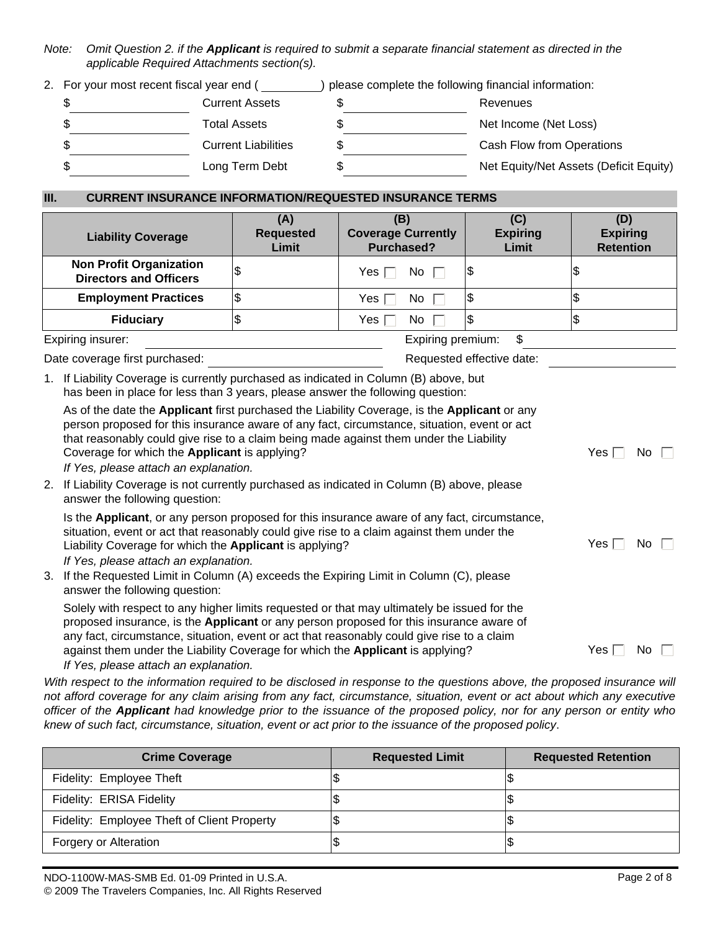*Note: Omit Question 2. if the Applicant is required to submit a separate financial statement as directed in the applicable Required Attachments section(s).*

2. For your most recent fiscal year end ( ) please complete the following financial information:

| J  | <b>Current Assets</b>      | Revenues                               |
|----|----------------------------|----------------------------------------|
|    | Total Assets               | Net Income (Net Loss)                  |
|    | <b>Current Liabilities</b> | Cash Flow from Operations              |
| ъD | Long Term Debt             | Net Equity/Net Assets (Deficit Equity) |

# **III. CURRENT INSURANCE INFORMATION/REQUESTED INSURANCE TERMS**

| <b>Liability Coverage</b>                                                                                                                                                                                                                                                             | (A)<br><b>Requested</b><br>Limit                                                                                                                                     | (B)<br><b>Coverage Currently</b><br>Purchased? | (C)<br><b>Expiring</b><br>Limit | (D)<br><b>Expiring</b><br><b>Retention</b> |  |  |  |  |
|---------------------------------------------------------------------------------------------------------------------------------------------------------------------------------------------------------------------------------------------------------------------------------------|----------------------------------------------------------------------------------------------------------------------------------------------------------------------|------------------------------------------------|---------------------------------|--------------------------------------------|--|--|--|--|
| <b>Non Profit Organization</b><br><b>Directors and Officers</b>                                                                                                                                                                                                                       |                                                                                                                                                                      | Yes l<br>No I                                  | 1\$                             | J                                          |  |  |  |  |
| <b>Employment Practices</b>                                                                                                                                                                                                                                                           | S                                                                                                                                                                    | Yes  <br>No.                                   | Ι\$                             | \$                                         |  |  |  |  |
| <b>Fiduciary</b>                                                                                                                                                                                                                                                                      |                                                                                                                                                                      | Yes l<br>No                                    | 1\$                             | \$                                         |  |  |  |  |
| Expiring insurer:                                                                                                                                                                                                                                                                     |                                                                                                                                                                      | Expiring premium:                              | \$                              |                                            |  |  |  |  |
| Date coverage first purchased:                                                                                                                                                                                                                                                        |                                                                                                                                                                      |                                                | Requested effective date:       |                                            |  |  |  |  |
| 1.                                                                                                                                                                                                                                                                                    | If Liability Coverage is currently purchased as indicated in Column (B) above, but<br>has been in place for less than 3 years, please answer the following question: |                                                |                                 |                                            |  |  |  |  |
| As of the date the Applicant first purchased the Liability Coverage, is the Applicant or any<br>person proposed for this insurance aware of any fact, circumstance, situation, event or act<br>that reasonably could give rise to a claim being made against them under the Liability |                                                                                                                                                                      |                                                |                                 |                                            |  |  |  |  |

Coverage for which the **Applicant** is applying? Yes No *If Yes, please attach an explanation.* 

2. If Liability Coverage is not currently purchased as indicated in Column (B) above, please answer the following question:

| Is the Applicant, or any person proposed for this insurance aware of any fact, circumstance,<br>situation, event or act that reasonably could give rise to a claim against them under the<br>Liability Coverage for which the <b>Applicant</b> is applying? | No<br>Yes i |
|-------------------------------------------------------------------------------------------------------------------------------------------------------------------------------------------------------------------------------------------------------------|-------------|
| If Yes, please attach an explanation.                                                                                                                                                                                                                       |             |

3. If the Requested Limit in Column (A) exceeds the Expiring Limit in Column (C), please answer the following question:

Solely with respect to any higher limits requested or that may ultimately be issued for the proposed insurance, is the **Applicant** or any person proposed for this insurance aware of any fact, circumstance, situation, event or act that reasonably could give rise to a claim against them under the Liability Coverage for which the **Applicant** is applying?  $Yes \cap No$  *If Yes, please attach an explanation.*

*With respect to the information required to be disclosed in response to the questions above, the proposed insurance will not afford coverage for any claim arising from any fact, circumstance, situation, event or act about which any executive officer of the Applicant had knowledge prior to the issuance of the proposed policy, nor for any person or entity who knew of such fact, circumstance, situation, event or act prior to the issuance of the proposed policy*.

| <b>Crime Coverage</b>                       | <b>Requested Limit</b> | <b>Requested Retention</b> |
|---------------------------------------------|------------------------|----------------------------|
| Fidelity: Employee Theft                    | 12                     |                            |
| Fidelity: ERISA Fidelity                    | 12                     |                            |
| Fidelity: Employee Theft of Client Property | 13                     |                            |
| Forgery or Alteration                       |                        |                            |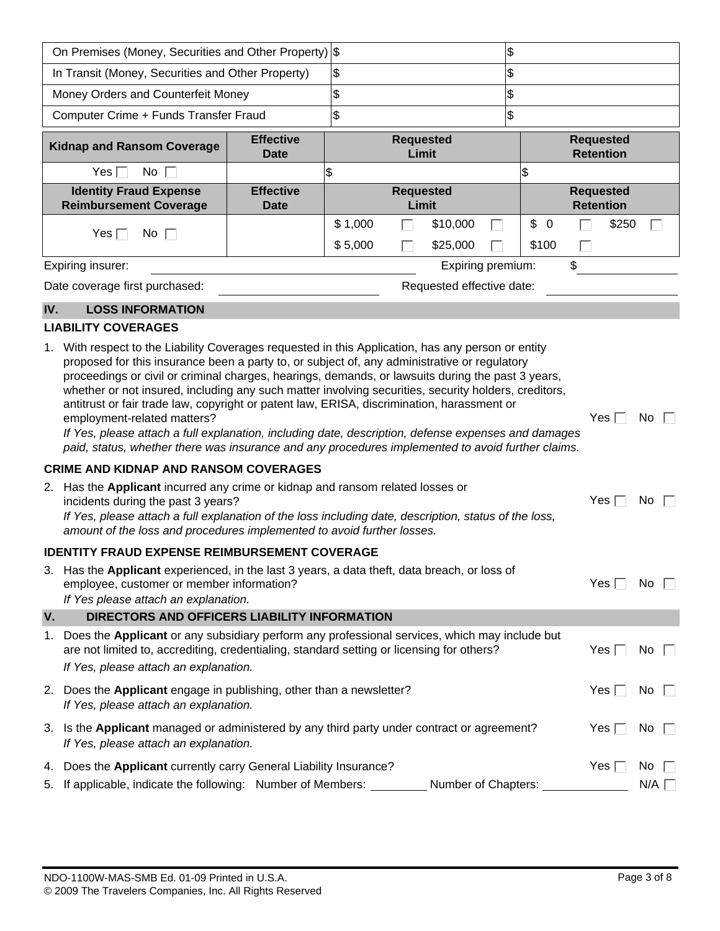| On Premises (Money, Securities and Other Property) \$                                                                                                                                                                                     |                                                                                                                                                                                                                                                                                                                                                                                                                                                                                                                                                                                                                                                                                                                                                                                                                                                                                                                                                                                                                                                                                                                                                               |                                 | \$                 |  |                           |              |               |                            |    |                                      |             |  |
|-------------------------------------------------------------------------------------------------------------------------------------------------------------------------------------------------------------------------------------------|---------------------------------------------------------------------------------------------------------------------------------------------------------------------------------------------------------------------------------------------------------------------------------------------------------------------------------------------------------------------------------------------------------------------------------------------------------------------------------------------------------------------------------------------------------------------------------------------------------------------------------------------------------------------------------------------------------------------------------------------------------------------------------------------------------------------------------------------------------------------------------------------------------------------------------------------------------------------------------------------------------------------------------------------------------------------------------------------------------------------------------------------------------------|---------------------------------|--------------------|--|---------------------------|--------------|---------------|----------------------------|----|--------------------------------------|-------------|--|
|                                                                                                                                                                                                                                           | In Transit (Money, Securities and Other Property)                                                                                                                                                                                                                                                                                                                                                                                                                                                                                                                                                                                                                                                                                                                                                                                                                                                                                                                                                                                                                                                                                                             |                                 | \$                 |  |                           |              | \$            |                            |    |                                      |             |  |
|                                                                                                                                                                                                                                           | Money Orders and Counterfeit Money                                                                                                                                                                                                                                                                                                                                                                                                                                                                                                                                                                                                                                                                                                                                                                                                                                                                                                                                                                                                                                                                                                                            |                                 | $\frac{2}{3}$      |  |                           |              | $\frac{2}{3}$ |                            |    |                                      |             |  |
|                                                                                                                                                                                                                                           | Computer Crime + Funds Transfer Fraud                                                                                                                                                                                                                                                                                                                                                                                                                                                                                                                                                                                                                                                                                                                                                                                                                                                                                                                                                                                                                                                                                                                         |                                 | \$                 |  |                           |              | \$            |                            |    |                                      |             |  |
|                                                                                                                                                                                                                                           | <b>Kidnap and Ransom Coverage</b>                                                                                                                                                                                                                                                                                                                                                                                                                                                                                                                                                                                                                                                                                                                                                                                                                                                                                                                                                                                                                                                                                                                             | <b>Effective</b><br><b>Date</b> |                    |  | <b>Requested</b><br>Limit |              |               |                            |    | <b>Requested</b><br><b>Retention</b> |             |  |
|                                                                                                                                                                                                                                           | Yes $\Box$<br>No.                                                                                                                                                                                                                                                                                                                                                                                                                                                                                                                                                                                                                                                                                                                                                                                                                                                                                                                                                                                                                                                                                                                                             |                                 | \$                 |  |                           |              |               | $\mathfrak{S}$             |    |                                      |             |  |
|                                                                                                                                                                                                                                           | <b>Identity Fraud Expense</b><br><b>Reimbursement Coverage</b>                                                                                                                                                                                                                                                                                                                                                                                                                                                                                                                                                                                                                                                                                                                                                                                                                                                                                                                                                                                                                                                                                                | <b>Effective</b><br><b>Date</b> |                    |  | <b>Requested</b><br>Limit |              |               |                            |    | <b>Requested</b><br><b>Retention</b> |             |  |
|                                                                                                                                                                                                                                           | Yes $\Box$<br>No $\Box$                                                                                                                                                                                                                                                                                                                                                                                                                                                                                                                                                                                                                                                                                                                                                                                                                                                                                                                                                                                                                                                                                                                                       |                                 | \$1,000<br>\$5,000 |  | \$10,000<br>\$25,000      | l.           |               | \$<br>$\mathbf 0$<br>\$100 |    | \$250                                |             |  |
|                                                                                                                                                                                                                                           | Expiring insurer:                                                                                                                                                                                                                                                                                                                                                                                                                                                                                                                                                                                                                                                                                                                                                                                                                                                                                                                                                                                                                                                                                                                                             |                                 |                    |  | Expiring premium:         |              |               |                            | \$ |                                      |             |  |
|                                                                                                                                                                                                                                           | Date coverage first purchased:                                                                                                                                                                                                                                                                                                                                                                                                                                                                                                                                                                                                                                                                                                                                                                                                                                                                                                                                                                                                                                                                                                                                |                                 |                    |  | Requested effective date: |              |               |                            |    |                                      |             |  |
| IV.                                                                                                                                                                                                                                       | <b>LOSS INFORMATION</b>                                                                                                                                                                                                                                                                                                                                                                                                                                                                                                                                                                                                                                                                                                                                                                                                                                                                                                                                                                                                                                                                                                                                       |                                 |                    |  |                           |              |               |                            |    |                                      |             |  |
|                                                                                                                                                                                                                                           | <b>LIABILITY COVERAGES</b>                                                                                                                                                                                                                                                                                                                                                                                                                                                                                                                                                                                                                                                                                                                                                                                                                                                                                                                                                                                                                                                                                                                                    |                                 |                    |  |                           |              |               |                            |    |                                      |             |  |
|                                                                                                                                                                                                                                           | 1. With respect to the Liability Coverages requested in this Application, has any person or entity<br>proposed for this insurance been a party to, or subject of, any administrative or regulatory<br>proceedings or civil or criminal charges, hearings, demands, or lawsuits during the past 3 years,<br>whether or not insured, including any such matter involving securities, security holders, creditors,<br>antitrust or fair trade law, copyright or patent law, ERISA, discrimination, harassment or<br>Yes $\Gamma$<br>No<br>employment-related matters?<br>If Yes, please attach a full explanation, including date, description, defense expenses and damages<br>paid, status, whether there was insurance and any procedures implemented to avoid further claims.<br><b>CRIME AND KIDNAP AND RANSOM COVERAGES</b><br>2. Has the Applicant incurred any crime or kidnap and ransom related losses or<br>incidents during the past 3 years?<br>Yes $\Box$<br>No<br>If Yes, please attach a full explanation of the loss including date, description, status of the loss,<br>amount of the loss and procedures implemented to avoid further losses. |                                 |                    |  |                           |              |               |                            |    |                                      |             |  |
|                                                                                                                                                                                                                                           | <b>IDENTITY FRAUD EXPENSE REIMBURSEMENT COVERAGE</b>                                                                                                                                                                                                                                                                                                                                                                                                                                                                                                                                                                                                                                                                                                                                                                                                                                                                                                                                                                                                                                                                                                          |                                 |                    |  |                           |              |               |                            |    |                                      |             |  |
| 3.                                                                                                                                                                                                                                        | Has the Applicant experienced, in the last 3 years, a data theft, data breach, or loss of<br>employee, customer or member information?<br>If Yes please attach an explanation.                                                                                                                                                                                                                                                                                                                                                                                                                                                                                                                                                                                                                                                                                                                                                                                                                                                                                                                                                                                |                                 |                    |  |                           |              |               |                            |    | Yes [                                | No.         |  |
| V.                                                                                                                                                                                                                                        | DIRECTORS AND OFFICERS LIABILITY INFORMATION                                                                                                                                                                                                                                                                                                                                                                                                                                                                                                                                                                                                                                                                                                                                                                                                                                                                                                                                                                                                                                                                                                                  |                                 |                    |  |                           |              |               |                            |    |                                      |             |  |
| Does the Applicant or any subsidiary perform any professional services, which may include but<br>1.<br>are not limited to, accrediting, credentialing, standard setting or licensing for others?<br>If Yes, please attach an explanation. |                                                                                                                                                                                                                                                                                                                                                                                                                                                                                                                                                                                                                                                                                                                                                                                                                                                                                                                                                                                                                                                                                                                                                               |                                 |                    |  |                           | Yes $\lceil$ | No.           |                            |    |                                      |             |  |
|                                                                                                                                                                                                                                           | 2. Does the Applicant engage in publishing, other than a newsletter?<br>If Yes, please attach an explanation.                                                                                                                                                                                                                                                                                                                                                                                                                                                                                                                                                                                                                                                                                                                                                                                                                                                                                                                                                                                                                                                 |                                 |                    |  |                           |              |               |                            |    | Yes $\Box$                           | No $\Gamma$ |  |
|                                                                                                                                                                                                                                           | 3. Is the Applicant managed or administered by any third party under contract or agreement?<br>If Yes, please attach an explanation.                                                                                                                                                                                                                                                                                                                                                                                                                                                                                                                                                                                                                                                                                                                                                                                                                                                                                                                                                                                                                          |                                 |                    |  |                           |              |               |                            |    | Yes $\Box$                           | No.         |  |
|                                                                                                                                                                                                                                           | 4. Does the Applicant currently carry General Liability Insurance?                                                                                                                                                                                                                                                                                                                                                                                                                                                                                                                                                                                                                                                                                                                                                                                                                                                                                                                                                                                                                                                                                            |                                 |                    |  |                           |              |               |                            |    | Yes $\Gamma$                         | No          |  |
|                                                                                                                                                                                                                                           | 5. If applicable, indicate the following: Number of Members:                                                                                                                                                                                                                                                                                                                                                                                                                                                                                                                                                                                                                                                                                                                                                                                                                                                                                                                                                                                                                                                                                                  |                                 |                    |  | Number of Chapters:       |              |               |                            |    |                                      | N/A         |  |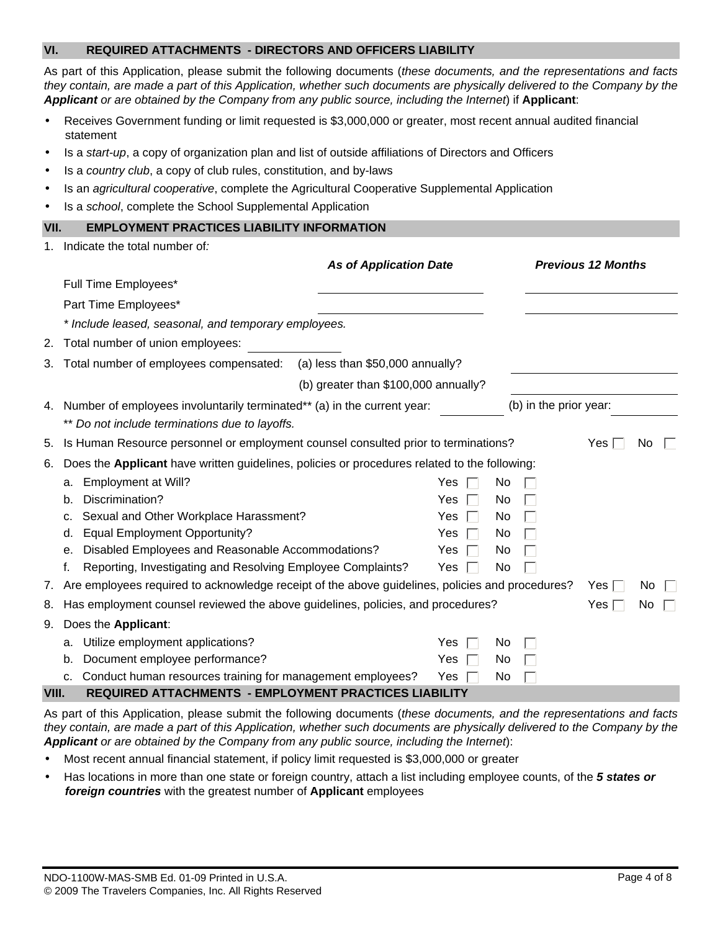### **VI. REQUIRED ATTACHMENTS - DIRECTORS AND OFFICERS LIABILITY**

As part of this Application, please submit the following documents (*these documents, and the representations and facts they contain, are made a part of this Application, whether such documents are physically delivered to the Company by the Applicant or are obtained by the Company from any public source, including the Internet*) if **Applicant**:

- Receives Government funding or limit requested is \$3,000,000 or greater, most recent annual audited financial statement
- Is a *start-up*, a copy of organization plan and list of outside affiliations of Directors and Officers
- Is a *country club*, a copy of club rules, constitution, and by-laws
- Is an *agricultural cooperative*, complete the Agricultural Cooperative Supplemental Application
- Is a *school*, complete the School Supplemental Application

# **VII. EMPLOYMENT PRACTICES LIABILITY INFORMATION**

| $1_{\cdot}$ | Indicate the total number of: |  |  |  |  |
|-------------|-------------------------------|--|--|--|--|
|-------------|-------------------------------|--|--|--|--|

|       |                                                                                                    | <b>As of Application Date</b>        |            |    |                        | <b>Previous 12 Months</b> |     |  |
|-------|----------------------------------------------------------------------------------------------------|--------------------------------------|------------|----|------------------------|---------------------------|-----|--|
|       | Full Time Employees*                                                                               |                                      |            |    |                        |                           |     |  |
|       | Part Time Employees*                                                                               |                                      |            |    |                        |                           |     |  |
|       | * Include leased, seasonal, and temporary employees.                                               |                                      |            |    |                        |                           |     |  |
|       | 2. Total number of union employees:                                                                |                                      |            |    |                        |                           |     |  |
|       | 3. Total number of employees compensated:                                                          | (a) less than \$50,000 annually?     |            |    |                        |                           |     |  |
|       |                                                                                                    | (b) greater than \$100,000 annually? |            |    |                        |                           |     |  |
| 4.    | Number of employees involuntarily terminated** (a) in the current year:                            |                                      |            |    | (b) in the prior year: |                           |     |  |
|       | ** Do not include terminations due to layoffs.                                                     |                                      |            |    |                        |                           |     |  |
|       | 5. Is Human Resource personnel or employment counsel consulted prior to terminations?              |                                      |            |    |                        | Yes                       | No  |  |
| 6.    | Does the Applicant have written guidelines, policies or procedures related to the following:       |                                      |            |    |                        |                           |     |  |
|       | Employment at Will?<br>a.                                                                          |                                      | <b>Yes</b> | No |                        |                           |     |  |
|       | Discrimination?<br>b.                                                                              |                                      | Yes        | No |                        |                           |     |  |
|       | Sexual and Other Workplace Harassment?<br>c.                                                       |                                      | <b>Yes</b> | No |                        |                           |     |  |
|       | <b>Equal Employment Opportunity?</b><br>d.                                                         |                                      | Yes        | No |                        |                           |     |  |
|       | Disabled Employees and Reasonable Accommodations?<br>е.                                            |                                      | Yes        | No |                        |                           |     |  |
|       | Reporting, Investigating and Resolving Employee Complaints?<br>f.                                  |                                      | Yes.       | No |                        |                           |     |  |
|       | 7. Are employees required to acknowledge receipt of the above guidelines, policies and procedures? |                                      |            |    |                        | Yes $\Box$                | No. |  |
|       | 8. Has employment counsel reviewed the above guidelines, policies, and procedures?                 |                                      |            |    |                        | Yes l                     | No  |  |
|       | 9. Does the Applicant:                                                                             |                                      |            |    |                        |                           |     |  |
|       | Utilize employment applications?<br>a.                                                             |                                      | Yes        | No |                        |                           |     |  |
|       | Document employee performance?<br>b.                                                               |                                      | Yes        | No |                        |                           |     |  |
|       | Conduct human resources training for management employees?<br>C.                                   |                                      | Yes.       | No |                        |                           |     |  |
| VIII. | <b>REQUIRED ATTACHMENTS - EMPLOYMENT PRACTICES LIABILITY</b>                                       |                                      |            |    |                        |                           |     |  |

As part of this Application, please submit the following documents (*these documents, and the representations and facts they contain, are made a part of this Application, whether such documents are physically delivered to the Company by the Applicant or are obtained by the Company from any public source, including the Internet*):

- Most recent annual financial statement, if policy limit requested is \$3,000,000 or greater
- Has locations in more than one state or foreign country, attach a list including employee counts, of the *5 states or foreign countries* with the greatest number of **Applicant** employees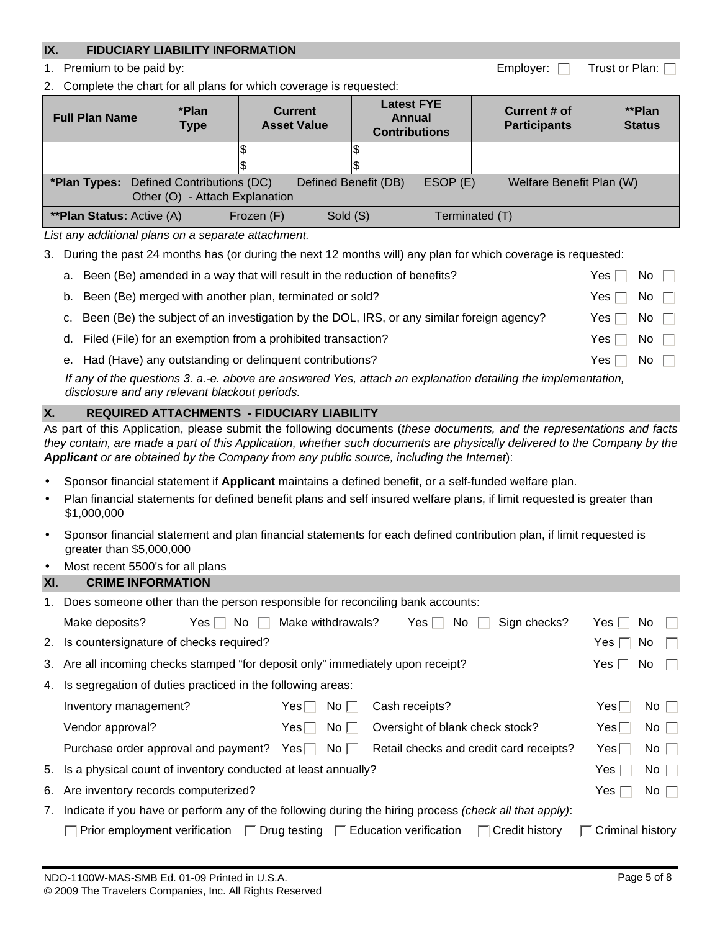# **IX. FIDUCIARY LIABILITY INFORMATION**

1. Premium to be paid by:  $\Box$  Trust or Plan: [

2. Complete the chart for all plans for which coverage is requested:

| <b>Full Plan Name</b>                                                                                                                           | *Plan<br><b>Type</b> | <b>Current</b><br><b>Asset Value</b> |          | <b>Latest FYE</b><br>Annual<br><b>Contributions</b> |  | Current # of<br><b>Participants</b> | **Plan<br><b>Status</b> |  |
|-------------------------------------------------------------------------------------------------------------------------------------------------|----------------------|--------------------------------------|----------|-----------------------------------------------------|--|-------------------------------------|-------------------------|--|
|                                                                                                                                                 |                      |                                      |          |                                                     |  |                                     |                         |  |
|                                                                                                                                                 |                      |                                      |          |                                                     |  |                                     |                         |  |
| <b>*Plan Types:</b> Defined Contributions (DC)<br>Defined Benefit (DB)<br>ESOP(E)<br>Welfare Benefit Plan (W)<br>Other (O) - Attach Explanation |                      |                                      |          |                                                     |  |                                     |                         |  |
| <b>**Plan Status:</b> Active (A)                                                                                                                |                      | Frozen (F)                           | Sold (S) |                                                     |  | Terminated (T)                      |                         |  |

*List any additional plans on a separate attachment.* 

3. During the past 24 months has (or during the next 12 months will) any plan for which coverage is requested:

|  | a. Been (Be) amended in a way that will result in the reduction of benefits?                                 | Yes l      | No $\Box$ |  |
|--|--------------------------------------------------------------------------------------------------------------|------------|-----------|--|
|  | b. Been (Be) merged with another plan, terminated or sold?                                                   | Yes $\Box$ | No $\Box$ |  |
|  | c. Been (Be) the subject of an investigation by the DOL, IRS, or any similar foreign agency?                 | Yes ⊟      | No $\Box$ |  |
|  | d. Filed (File) for an exemption from a prohibited transaction?                                              | Yes∣∣      | No $\Box$ |  |
|  | e. Had (Have) any outstanding or delinguent contributions?                                                   | Yes        | No $\Box$ |  |
|  | If any of the questions 3. a.-e. above are answered Yes, attach an explanation detailing the implementation, |            |           |  |

*disclosure and any relevant blackout periods.*

# **X. REQUIRED ATTACHMENTS - FIDUCIARY LIABILITY**

As part of this Application, please submit the following documents (*these documents, and the representations and facts they contain, are made a part of this Application, whether such documents are physically delivered to the Company by the Applicant or are obtained by the Company from any public source, including the Internet*):

- Sponsor financial statement if **Applicant** maintains a defined benefit, or a self-funded welfare plan.
- Plan financial statements for defined benefit plans and self insured welfare plans, if limit requested is greater than \$1,000,000
- Sponsor financial statement and plan financial statements for each defined contribution plan, if limit requested is greater than \$5,000,000
- Most recent 5500's for all plans

# **XI. CRIME INFORMATION**

|                                                                  | Does someone other than the person responsible for reconciling bank accounts:                          |                           |                                 |                                         |                  |                     |  |  |
|------------------------------------------------------------------|--------------------------------------------------------------------------------------------------------|---------------------------|---------------------------------|-----------------------------------------|------------------|---------------------|--|--|
|                                                                  | Make deposits?<br>$Yes \Box No \Box$                                                                   | Make withdrawals?         | Yes $\Box$<br>No l              | Sign checks?                            | Yes l            | No.<br>$\mathbf{L}$ |  |  |
|                                                                  | 2. Is countersignature of checks required?                                                             |                           |                                 |                                         | Yes $\Box$       | No.<br>$\mathbf{L}$ |  |  |
|                                                                  | 3. Are all incoming checks stamped "for deposit only" immediately upon receipt?                        |                           | Yes l                           | No.<br>$\mathbf{L}$                     |                  |                     |  |  |
| Is segregation of duties practiced in the following areas:<br>4. |                                                                                                        |                           |                                 |                                         |                  |                     |  |  |
|                                                                  | Inventory management?                                                                                  | Yes⊟<br>$NO$ $\vert$      | Cash receipts?                  |                                         | Yes⊟ ∣           | $No$                |  |  |
|                                                                  | Vendor approval?                                                                                       | No <sub>1</sub><br>Yesl I | Oversight of blank check stock? |                                         | $Yes \Box$       | No $\Box$           |  |  |
|                                                                  | Purchase order approval and payment? Yes $\Box$ No $\Box$                                              |                           |                                 | Retail checks and credit card receipts? | $Yes \Box$       | No $\Box$           |  |  |
|                                                                  | 5. Is a physical count of inventory conducted at least annually?                                       |                           |                                 |                                         | Yes $\Box$       | No $\Box$           |  |  |
|                                                                  | 6. Are inventory records computerized?                                                                 |                           |                                 |                                         | Yes I            | $No \ \Box$         |  |  |
| 7.                                                               | Indicate if you have or perform any of the following during the hiring process (check all that apply): |                           |                                 |                                         |                  |                     |  |  |
|                                                                  | Prior employment verification $\Box$ Drug testing $\Box$ Education verification                        |                           |                                 | $\Box$ Credit history                   | Criminal history |                     |  |  |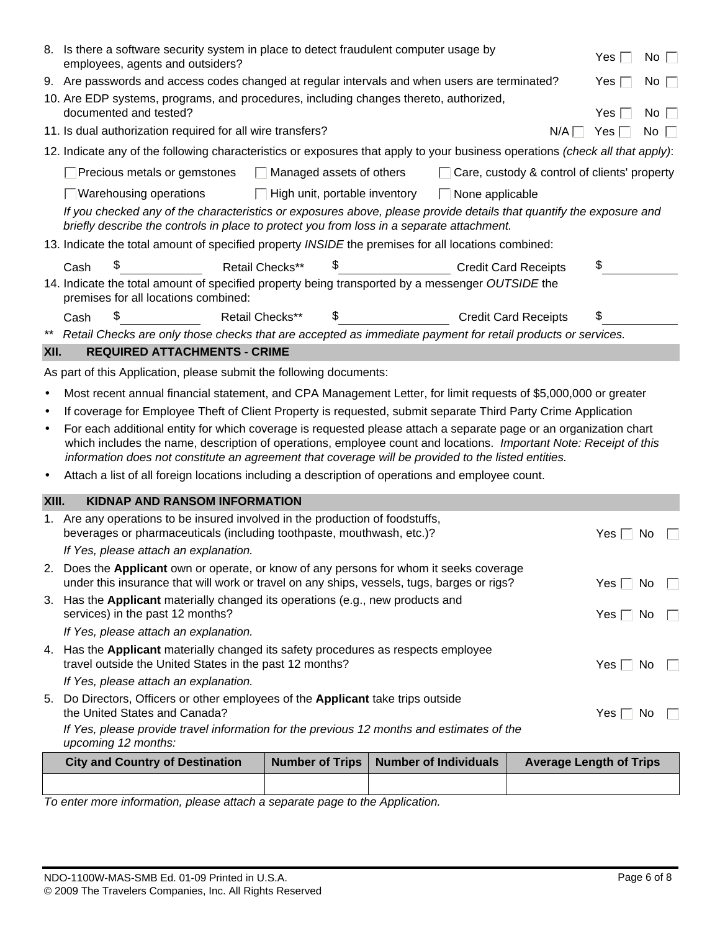|           | If Yes, please provide travel information for the previous 12 months and estimates of the<br>upcoming 12 months:<br><b>City and Country of Destination</b>                                                                                                                                                                                                                                                                                                     | Number of Trips                      | <b>Number of Individuals</b>                        | <b>Average Length of Trips</b> | Yes $\Box$ No |           |
|-----------|----------------------------------------------------------------------------------------------------------------------------------------------------------------------------------------------------------------------------------------------------------------------------------------------------------------------------------------------------------------------------------------------------------------------------------------------------------------|--------------------------------------|-----------------------------------------------------|--------------------------------|---------------|-----------|
|           |                                                                                                                                                                                                                                                                                                                                                                                                                                                                |                                      |                                                     |                                |               |           |
|           | the United States and Canada?                                                                                                                                                                                                                                                                                                                                                                                                                                  |                                      |                                                     |                                |               |           |
| 5.        | If Yes, please attach an explanation.<br>Do Directors, Officers or other employees of the Applicant take trips outside                                                                                                                                                                                                                                                                                                                                         |                                      |                                                     |                                |               |           |
|           | travel outside the United States in the past 12 months?                                                                                                                                                                                                                                                                                                                                                                                                        |                                      |                                                     |                                | Yes $\Box$ No |           |
|           | 4. Has the Applicant materially changed its safety procedures as respects employee                                                                                                                                                                                                                                                                                                                                                                             |                                      |                                                     |                                |               |           |
|           | If Yes, please attach an explanation.                                                                                                                                                                                                                                                                                                                                                                                                                          |                                      |                                                     |                                |               |           |
|           | 3. Has the Applicant materially changed its operations (e.g., new products and<br>services) in the past 12 months?                                                                                                                                                                                                                                                                                                                                             |                                      |                                                     |                                | Yes $\Box$ No |           |
|           | 2. Does the Applicant own or operate, or know of any persons for whom it seeks coverage<br>under this insurance that will work or travel on any ships, vessels, tugs, barges or rigs?                                                                                                                                                                                                                                                                          |                                      |                                                     |                                | Yes $\Box$    | No.       |
|           | If Yes, please attach an explanation.                                                                                                                                                                                                                                                                                                                                                                                                                          |                                      |                                                     |                                |               |           |
|           | 1. Are any operations to be insured involved in the production of foodstuffs,<br>beverages or pharmaceuticals (including toothpaste, mouthwash, etc.)?                                                                                                                                                                                                                                                                                                         |                                      |                                                     |                                | Yes $\Box$    | No        |
| XIII.     | <b>KIDNAP AND RANSOM INFORMATION</b>                                                                                                                                                                                                                                                                                                                                                                                                                           |                                      |                                                     |                                |               |           |
| $\bullet$ | Attach a list of all foreign locations including a description of operations and employee count.                                                                                                                                                                                                                                                                                                                                                               |                                      |                                                     |                                |               |           |
| $\bullet$ | If coverage for Employee Theft of Client Property is requested, submit separate Third Party Crime Application<br>For each additional entity for which coverage is requested please attach a separate page or an organization chart<br>which includes the name, description of operations, employee count and locations. Important Note: Receipt of this<br>information does not constitute an agreement that coverage will be provided to the listed entities. |                                      |                                                     |                                |               |           |
| $\bullet$ | Most recent annual financial statement, and CPA Management Letter, for limit requests of \$5,000,000 or greater                                                                                                                                                                                                                                                                                                                                                |                                      |                                                     |                                |               |           |
|           | As part of this Application, please submit the following documents:                                                                                                                                                                                                                                                                                                                                                                                            |                                      |                                                     |                                |               |           |
| XII.      | <b>REQUIRED ATTACHMENTS - CRIME</b>                                                                                                                                                                                                                                                                                                                                                                                                                            |                                      |                                                     |                                |               |           |
|           | Cash<br>** Retail Checks are only those checks that are accepted as immediate payment for retail products or services.                                                                                                                                                                                                                                                                                                                                         |                                      |                                                     | <b>Credit Card Receipts</b>    |               |           |
|           | premises for all locations combined:<br>\$<br>Retail Checks**                                                                                                                                                                                                                                                                                                                                                                                                  | \$                                   |                                                     |                                | \$            |           |
|           | 14. Indicate the total amount of specified property being transported by a messenger OUTSIDE the                                                                                                                                                                                                                                                                                                                                                               |                                      |                                                     |                                |               |           |
|           | \$<br>Retail Checks**<br>Cash                                                                                                                                                                                                                                                                                                                                                                                                                                  | \$                                   | <b>Credit Card Receipts</b>                         |                                | \$            |           |
|           | briefly describe the controls in place to protect you from loss in a separate attachment.<br>13. Indicate the total amount of specified property INSIDE the premises for all locations combined:                                                                                                                                                                                                                                                               |                                      |                                                     |                                |               |           |
|           | If you checked any of the characteristics or exposures above, please provide details that quantify the exposure and                                                                                                                                                                                                                                                                                                                                            |                                      |                                                     |                                |               |           |
|           | □ Warehousing operations                                                                                                                                                                                                                                                                                                                                                                                                                                       | $\Box$ High unit, portable inventory | $\Box$ None applicable                              |                                |               |           |
|           | Precious metals or gemstones                                                                                                                                                                                                                                                                                                                                                                                                                                   | $\Box$ Managed assets of others      | $\Box$ Care, custody & control of clients' property |                                |               |           |
|           | 12. Indicate any of the following characteristics or exposures that apply to your business operations (check all that apply):                                                                                                                                                                                                                                                                                                                                  |                                      |                                                     |                                |               |           |
|           | 11. Is dual authorization required for all wire transfers?                                                                                                                                                                                                                                                                                                                                                                                                     |                                      |                                                     | $N/A$ $\Box$                   | Yes $\Box$    | No $\Box$ |
|           | 10. Are EDP systems, programs, and procedures, including changes thereto, authorized,<br>documented and tested?                                                                                                                                                                                                                                                                                                                                                |                                      |                                                     |                                | Yes $\Box$    | No $\Box$ |
|           | 9. Are passwords and access codes changed at regular intervals and when users are terminated?                                                                                                                                                                                                                                                                                                                                                                  |                                      |                                                     |                                | Yes $\Box$    | No $\Box$ |
|           | 8. Is there a software security system in place to detect fraudulent computer usage by<br>employees, agents and outsiders?                                                                                                                                                                                                                                                                                                                                     |                                      |                                                     |                                | Yes $\Box$    | No $\Box$ |
|           |                                                                                                                                                                                                                                                                                                                                                                                                                                                                |                                      |                                                     |                                |               |           |

*To enter more information, please attach a separate page to the Application.*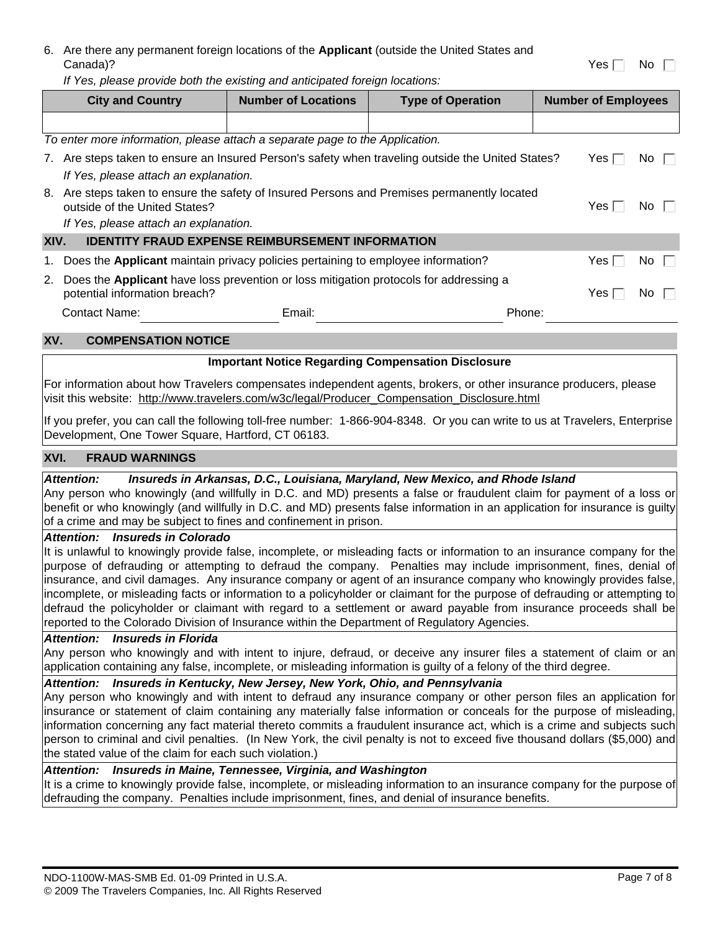| 6. Are there any permanent foreign locations of the Applicant (outside the United States and |               |  |
|----------------------------------------------------------------------------------------------|---------------|--|
| Canada)?                                                                                     | Yes $\Box$ No |  |

*If Yes, please provide both the existing and anticipated foreign locations:*

|      | <b>City and Country</b>                                                                                                                                               | <b>Number of Locations</b>                              | <b>Type of Operation</b> | <b>Number of Employees</b> |  |
|------|-----------------------------------------------------------------------------------------------------------------------------------------------------------------------|---------------------------------------------------------|--------------------------|----------------------------|--|
|      |                                                                                                                                                                       |                                                         |                          |                            |  |
|      | To enter more information, please attach a separate page to the Application.                                                                                          |                                                         |                          |                            |  |
| 7.   | Are steps taken to ensure an Insured Person's safety when traveling outside the United States?<br>If Yes, please attach an explanation.                               | Yes I<br>No I                                           |                          |                            |  |
|      | 8. Are steps taken to ensure the safety of Insured Persons and Premises permanently located<br>outside of the United States?<br>If Yes, please attach an explanation. | Yes l<br>No I                                           |                          |                            |  |
| XIV. |                                                                                                                                                                       | <b>IDENTITY FRAUD EXPENSE REIMBURSEMENT INFORMATION</b> |                          |                            |  |
| 1.   | Does the <b>Applicant</b> maintain privacy policies pertaining to employee information?                                                                               | Yes I<br>No.                                            |                          |                            |  |
| 2.   | Does the Applicant have loss prevention or loss mitigation protocols for addressing a<br>potential information breach?                                                |                                                         |                          |                            |  |
|      | <b>Contact Name:</b>                                                                                                                                                  | Email:                                                  | Phone:                   |                            |  |

# **XV. COMPENSATION NOTICE**

## **Important Notice Regarding Compensation Disclosure**

For information about how Travelers compensates independent agents, brokers, or other insurance producers, please visit this website: http://www.travelers.com/w3c/legal/Producer\_Compensation\_Disclosure.html

If you prefer, you can call the following toll-free number: 1-866-904-8348. Or you can write to us at Travelers, Enterprise Development, One Tower Square, Hartford, CT 06183.

#### **XVI. FRAUD WARNINGS**

#### *Attention: Insureds in Arkansas, D.C., Louisiana, Maryland, New Mexico, and Rhode Island*

Any person who knowingly (and willfully in D.C. and MD) presents a false or fraudulent claim for payment of a loss or benefit or who knowingly (and willfully in D.C. and MD) presents false information in an application for insurance is guilty of a crime and may be subject to fines and confinement in prison.

#### *Attention: Insureds in Colorado*

It is unlawful to knowingly provide false, incomplete, or misleading facts or information to an insurance company for the purpose of defrauding or attempting to defraud the company. Penalties may include imprisonment, fines, denial of insurance, and civil damages. Any insurance company or agent of an insurance company who knowingly provides false, incomplete, or misleading facts or information to a policyholder or claimant for the purpose of defrauding or attempting to defraud the policyholder or claimant with regard to a settlement or award payable from insurance proceeds shall be reported to the Colorado Division of Insurance within the Department of Regulatory Agencies.

#### *Attention: Insureds in Florida*

Any person who knowingly and with intent to injure, defraud, or deceive any insurer files a statement of claim or an application containing any false, incomplete, or misleading information is guilty of a felony of the third degree.

## *Attention: Insureds in Kentucky, New Jersey, New York, Ohio, and Pennsylvania*

Any person who knowingly and with intent to defraud any insurance company or other person files an application for insurance or statement of claim containing any materially false information or conceals for the purpose of misleading, information concerning any fact material thereto commits a fraudulent insurance act, which is a crime and subjects such person to criminal and civil penalties. (In New York, the civil penalty is not to exceed five thousand dollars (\$5,000) and the stated value of the claim for each such violation.)

# *Attention: Insureds in Maine, Tennessee, Virginia, and Washington*

It is a crime to knowingly provide false, incomplete, or misleading information to an insurance company for the purpose of defrauding the company. Penalties include imprisonment, fines, and denial of insurance benefits.